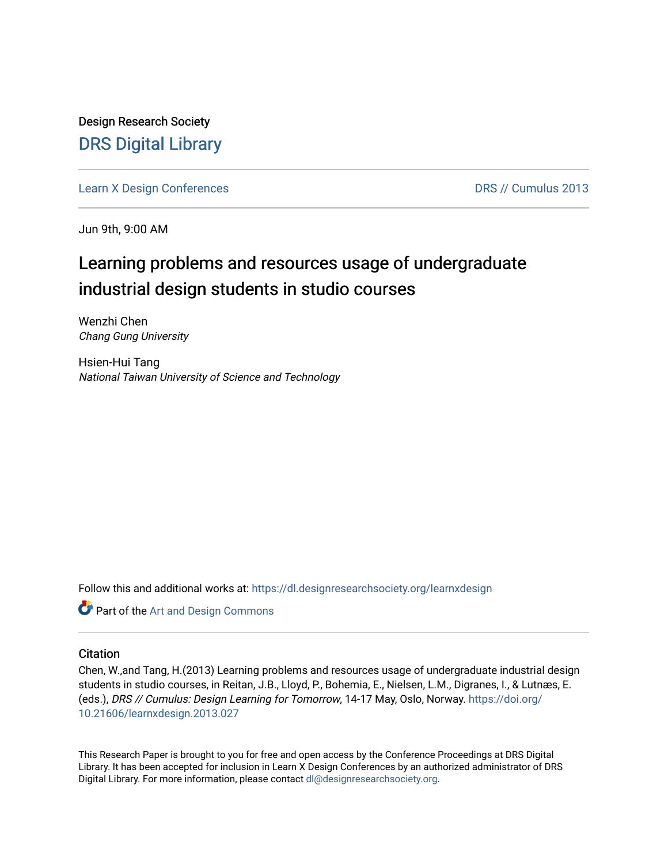Design Research Society [DRS Digital Library](https://dl.designresearchsociety.org/)

[Learn X Design Conferences](https://dl.designresearchsociety.org/learnxdesign) **DRS // Cumulus 2013** 

Jun 9th, 9:00 AM

# Learning problems and resources usage of undergraduate industrial design students in studio courses

Wenzhi Chen Chang Gung University

Hsien-Hui Tang National Taiwan University of Science and Technology

Follow this and additional works at: [https://dl.designresearchsociety.org/learnxdesign](https://dl.designresearchsociety.org/learnxdesign?utm_source=dl.designresearchsociety.org%2Flearnxdesign%2Flearnxdesign2013%2Fresearchpapers%2F27&utm_medium=PDF&utm_campaign=PDFCoverPages)

Part of the [Art and Design Commons](http://network.bepress.com/hgg/discipline/1049?utm_source=dl.designresearchsociety.org%2Flearnxdesign%2Flearnxdesign2013%2Fresearchpapers%2F27&utm_medium=PDF&utm_campaign=PDFCoverPages)

# **Citation**

Chen, W.,and Tang, H.(2013) Learning problems and resources usage of undergraduate industrial design students in studio courses, in Reitan, J.B., Lloyd, P., Bohemia, E., Nielsen, L.M., Digranes, I., & Lutnæs, E. (eds.), DRS // Cumulus: Design Learning for Tomorrow, 14-17 May, Oslo, Norway. [https://doi.org/](https://doi.org/10.21606/learnxdesign.2013.027) [10.21606/learnxdesign.2013.027](https://doi.org/10.21606/learnxdesign.2013.027)

This Research Paper is brought to you for free and open access by the Conference Proceedings at DRS Digital Library. It has been accepted for inclusion in Learn X Design Conferences by an authorized administrator of DRS Digital Library. For more information, please contact [dl@designresearchsociety.org](mailto:dl@designresearchsociety.org).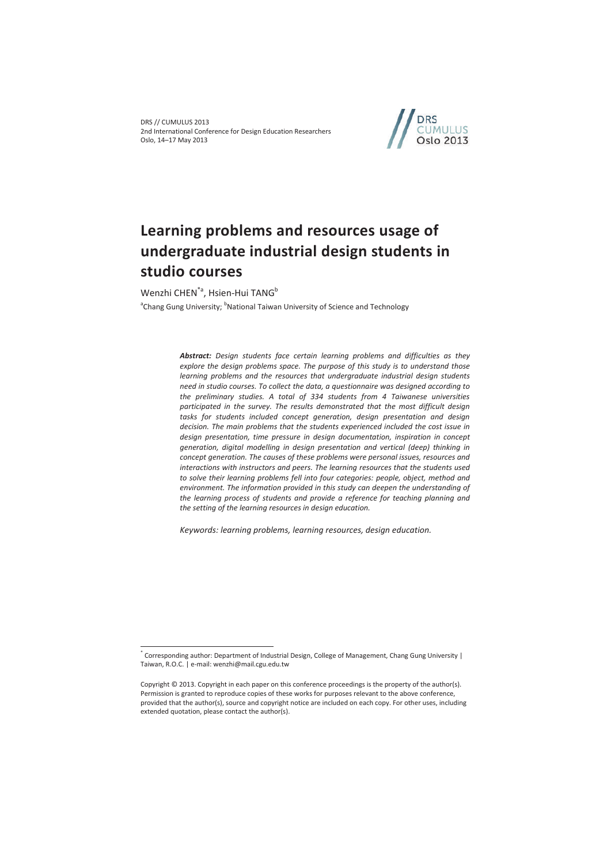DRS // CUMULUS 2013 2nd International Conference for Design Education Researchers Oslo, 14–17 May 2013



# **Learning problems and resources usage of undergraduate industrial design students in studio courses**

Wenzhi CHEN<sup>\*a</sup>, Hsien-Hui TANG<sup>b</sup>

 $\overline{a}$ 

<sup>a</sup>Chang Gung University; <sup>b</sup>National Taiwan University of Science and Technology

*Abstract: Design students face certain learning problems and difficulties as they explore the design problems space. The purpose of this study is to understand those learning problems and the resources that undergraduate industrial design students need in studio courses. To collect the data, a questionnaire was designed according to the preliminary studies. A total of 334 students from 4 Taiwanese universities participated in the survey. The results demonstrated that the most difficult design tasks for students included concept generation, design presentation and design decision. The main problems that the students experienced included the cost issue in design presentation, time pressure in design documentation, inspiration in concept generation, digital modelling in design presentation and vertical (deep) thinking in concept generation. The causes of these problems were personal issues, resources and interactions with instructors and peers. The learning resources that the students used to solve their learning problems fell into four categories: people, object, method and*  environment. The information provided in this study can deepen the understanding of *the learning process of students and provide a reference for teaching planning and the setting of the learning resources in design education.* 

*Keywords: learning problems, learning resources, design education.* 

<sup>\*</sup> Corresponding author: Department of Industrial Design, College of Management, Chang Gung University | Taiwan, R.O.C. | e-mail: wenzhi@mail.cgu.edu.tw

Copyright © 2013. Copyright in each paper on this conference proceedings is the property of the author(s). Permission is granted to reproduce copies of these works for purposes relevant to the above conference, provided that the author(s), source and copyright notice are included on each copy. For other uses, including extended quotation, please contact the author(s).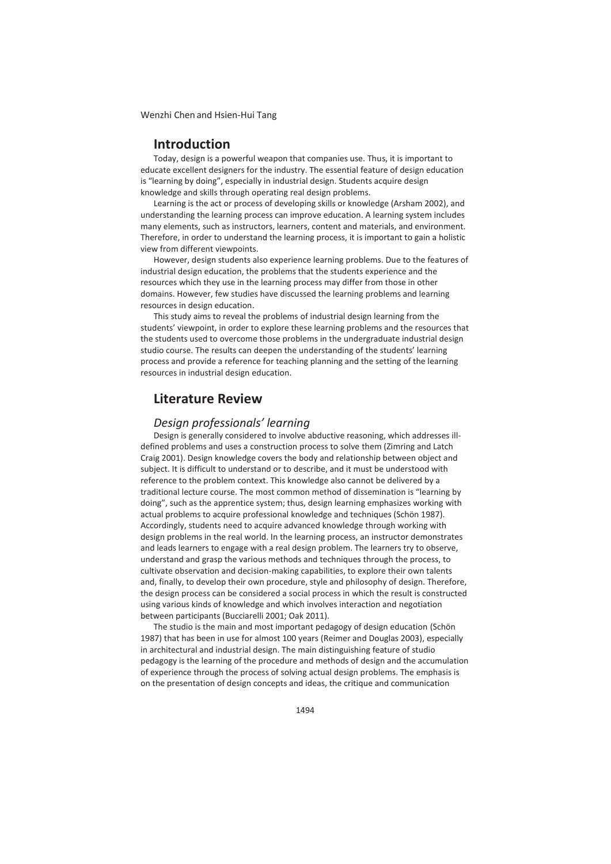# **Introduction**

Today, design is a powerful weapon that companies use. Thus, it is important to educate excellent designers for the industry. The essential feature of design education is "learning by doing", especially in industrial design. Students acquire design knowledge and skills through operating real design problems.

Learning is the act or process of developing skills or knowledge (Arsham 2002), and understanding the learning process can improve education. A learning system includes many elements, such as instructors, learners, content and materials, and environment. Therefore, in order to understand the learning process, it is important to gain a holistic view from different viewpoints.

However, design students also experience learning problems. Due to the features of industrial design education, the problems that the students experience and the resources which they use in the learning process may differ from those in other domains. However, few studies have discussed the learning problems and learning resources in design education.

This study aims to reveal the problems of industrial design learning from the students' viewpoint, in order to explore these learning problems and the resources that the students used to overcome those problems in the undergraduate industrial design studio course. The results can deepen the understanding of the students' learning process and provide a reference for teaching planning and the setting of the learning resources in industrial design education.

# **Literature Review**

# *Design professionals' learning*

Design is generally considered to involve abductive reasoning, which addresses illdefined problems and uses a construction process to solve them (Zimring and Latch Craig 2001). Design knowledge covers the body and relationship between object and subject. It is difficult to understand or to describe, and it must be understood with reference to the problem context. This knowledge also cannot be delivered by a traditional lecture course. The most common method of dissemination is "learning by doing", such as the apprentice system; thus, design learning emphasizes working with actual problems to acquire professional knowledge and techniques (Schön 1987). Accordingly, students need to acquire advanced knowledge through working with design problems in the real world. In the learning process, an instructor demonstrates and leads learners to engage with a real design problem. The learners try to observe, understand and grasp the various methods and techniques through the process, to cultivate observation and decision-making capabilities, to explore their own talents and, finally, to develop their own procedure, style and philosophy of design. Therefore, the design process can be considered a social process in which the result is constructed using various kinds of knowledge and which involves interaction and negotiation between participants (Bucciarelli 2001; Oak 2011).

The studio is the main and most important pedagogy of design education (Schön 1987) that has been in use for almost 100 years (Reimer and Douglas 2003), especially in architectural and industrial design. The main distinguishing feature of studio pedagogy is the learning of the procedure and methods of design and the accumulation of experience through the process of solving actual design problems. The emphasis is on the presentation of design concepts and ideas, the critique and communication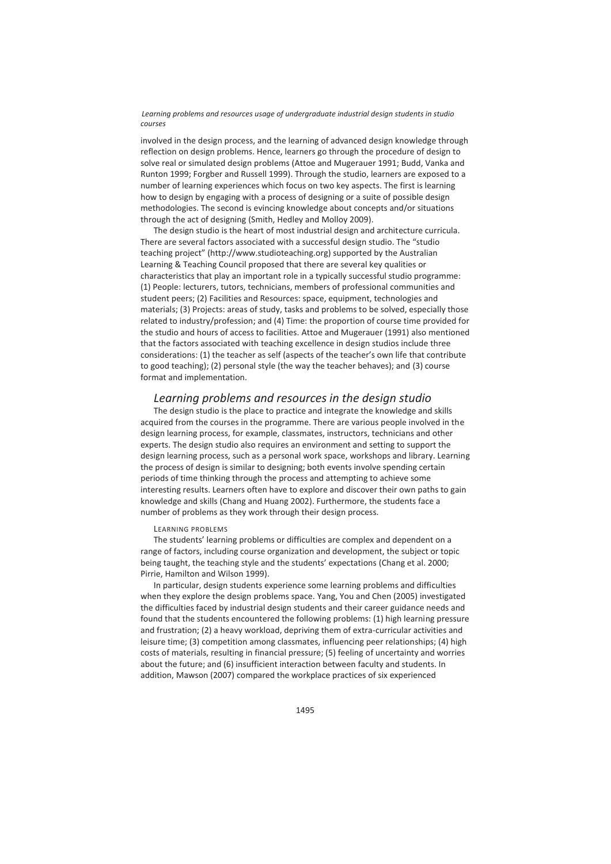involved in the design process, and the learning of advanced design knowledge through reflection on design problems. Hence, learners go through the procedure of design to solve real or simulated design problems (Attoe and Mugerauer 1991; Budd, Vanka and Runton 1999; Forgber and Russell 1999). Through the studio, learners are exposed to a number of learning experiences which focus on two key aspects. The first is learning how to design by engaging with a process of designing or a suite of possible design methodologies. The second is evincing knowledge about concepts and/or situations through the act of designing (Smith, Hedley and Molloy 2009).

The design studio is the heart of most industrial design and architecture curricula. There are several factors associated with a successful design studio. The "studio teaching project" (http://www.studioteaching.org) supported by the Australian Learning & Teaching Council proposed that there are several key qualities or characteristics that play an important role in a typically successful studio programme: (1) People: lecturers, tutors, technicians, members of professional communities and student peers; (2) Facilities and Resources: space, equipment, technologies and materials; (3) Projects: areas of study, tasks and problems to be solved, especially those related to industry/profession; and (4) Time: the proportion of course time provided for the studio and hours of access to facilities. Attoe and Mugerauer (1991) also mentioned that the factors associated with teaching excellence in design studios include three considerations: (1) the teacher as self (aspects of the teacher's own life that contribute to good teaching); (2) personal style (the way the teacher behaves); and (3) course format and implementation.

# *Learning problems and resources in the design studio*

The design studio is the place to practice and integrate the knowledge and skills acquired from the courses in the programme. There are various people involved in the design learning process, for example, classmates, instructors, technicians and other experts. The design studio also requires an environment and setting to support the design learning process, such as a personal work space, workshops and library. Learning the process of design is similar to designing; both events involve spending certain periods of time thinking through the process and attempting to achieve some interesting results. Learners often have to explore and discover their own paths to gain knowledge and skills (Chang and Huang 2002). Furthermore, the students face a number of problems as they work through their design process.

## LEARNING PROBLEMS

The students' learning problems or difficulties are complex and dependent on a range of factors, including course organization and development, the subject or topic being taught, the teaching style and the students' expectations (Chang et al. 2000; Pirrie, Hamilton and Wilson 1999).

In particular, design students experience some learning problems and difficulties when they explore the design problems space. Yang, You and Chen (2005) investigated the difficulties faced by industrial design students and their career guidance needs and found that the students encountered the following problems: (1) high learning pressure and frustration; (2) a heavy workload, depriving them of extra-curricular activities and leisure time; (3) competition among classmates, influencing peer relationships; (4) high costs of materials, resulting in financial pressure; (5) feeling of uncertainty and worries about the future; and (6) insufficient interaction between faculty and students. In addition, Mawson (2007) compared the workplace practices of six experienced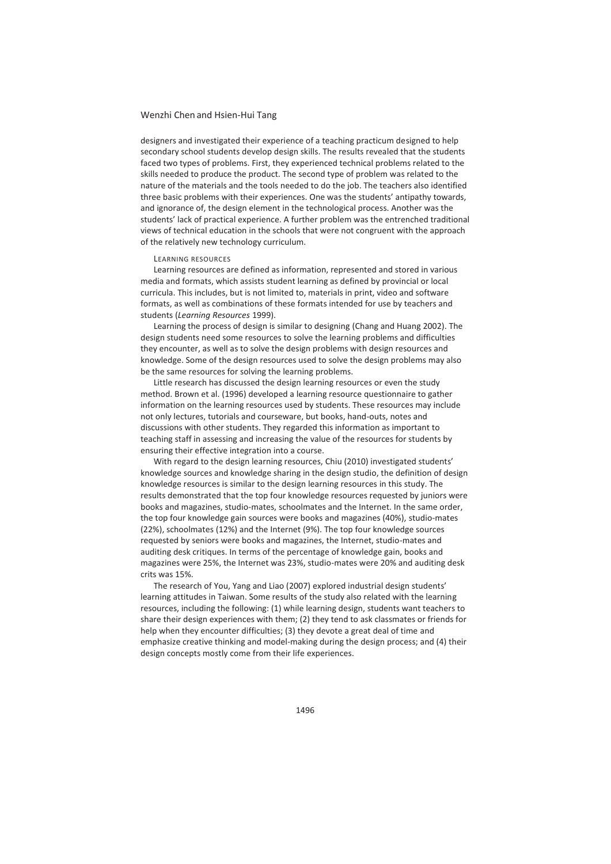designers and investigated their experience of a teaching practicum designed to help secondary school students develop design skills. The results revealed that the students faced two types of problems. First, they experienced technical problems related to the skills needed to produce the product. The second type of problem was related to the nature of the materials and the tools needed to do the job. The teachers also identified three basic problems with their experiences. One was the students' antipathy towards, and ignorance of, the design element in the technological process. Another was the students' lack of practical experience. A further problem was the entrenched traditional views of technical education in the schools that were not congruent with the approach of the relatively new technology curriculum.

#### LEARNING RESOURCES

Learning resources are defined as information, represented and stored in various media and formats, which assists student learning as defined by provincial or local curricula. This includes, but is not limited to, materials in print, video and software formats, as well as combinations of these formats intended for use by teachers and students (*Learning Resources* 1999).

Learning the process of design is similar to designing (Chang and Huang 2002). The design students need some resources to solve the learning problems and difficulties they encounter, as well as to solve the design problems with design resources and knowledge. Some of the design resources used to solve the design problems may also be the same resources for solving the learning problems.

Little research has discussed the design learning resources or even the study method. Brown et al. (1996) developed a learning resource questionnaire to gather information on the learning resources used by students. These resources may include not only lectures, tutorials and courseware, but books, hand-outs, notes and discussions with other students. They regarded this information as important to teaching staff in assessing and increasing the value of the resources for students by ensuring their effective integration into a course.

With regard to the design learning resources, Chiu (2010) investigated students' knowledge sources and knowledge sharing in the design studio, the definition of design knowledge resources is similar to the design learning resources in this study. The results demonstrated that the top four knowledge resources requested by juniors were books and magazines, studio-mates, schoolmates and the Internet. In the same order, the top four knowledge gain sources were books and magazines (40%), studio-mates (22%), schoolmates (12%) and the Internet (9%). The top four knowledge sources requested by seniors were books and magazines, the Internet, studio-mates and auditing desk critiques. In terms of the percentage of knowledge gain, books and magazines were 25%, the Internet was 23%, studio-mates were 20% and auditing desk crits was 15%.

The research of You, Yang and Liao (2007) explored industrial design students' learning attitudes in Taiwan. Some results of the study also related with the learning resources, including the following: (1) while learning design, students want teachers to share their design experiences with them; (2) they tend to ask classmates or friends for help when they encounter difficulties; (3) they devote a great deal of time and emphasize creative thinking and model-making during the design process; and (4) their design concepts mostly come from their life experiences.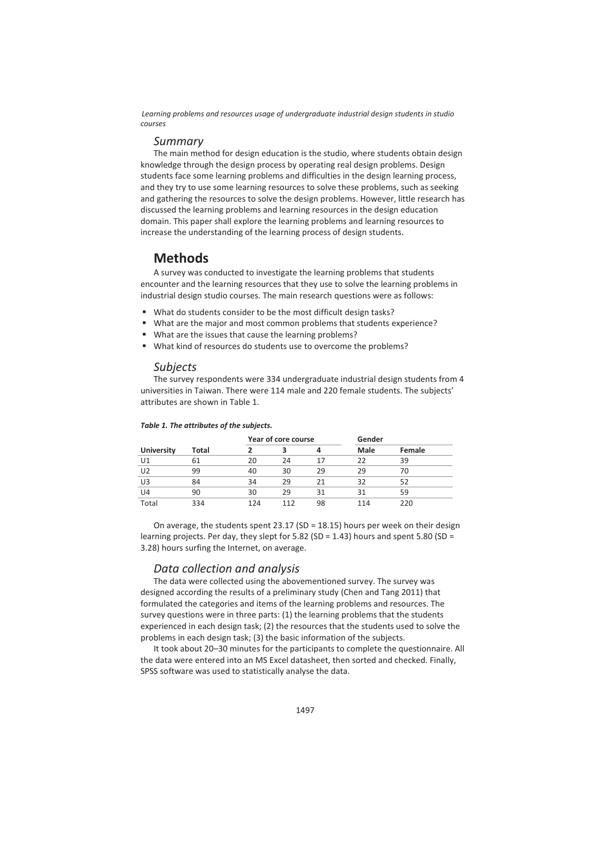## *Summary*

The main method for design education is the studio, where students obtain design knowledge through the design process by operating real design problems. Design students face some learning problems and difficulties in the design learning process, and they try to use some learning resources to solve these problems, such as seeking and gathering the resources to solve the design problems. However, little research has discussed the learning problems and learning resources in the design education domain. This paper shall explore the learning problems and learning resources to increase the understanding of the learning process of design students.

# **Methods**

A survey was conducted to investigate the learning problems that students encounter and the learning resources that they use to solve the learning problems in industrial design studio courses. The main research questions were as follows:

- What do students consider to be the most difficult design tasks?
- What are the major and most common problems that students experience?
- What are the issues that cause the learning problems?
- What kind of resources do students use to overcome the problems?

# *Subjects*

The survey respondents were 334 undergraduate industrial design students from 4 universities in Taiwan. There were 114 male and 220 female students. The subjects' attributes are shown in Table 1.

|                |       |     | Year of core course |    | Gender      |        |
|----------------|-------|-----|---------------------|----|-------------|--------|
| University     | Total | ว   |                     | 4  | <b>Male</b> | Female |
| U1             | 61    | 20  | 24                  | 17 | 22          | 39     |
| U <sub>2</sub> | 99    | 40  | 30                  | 29 | 29          | 70     |
| U3             | 84    | 34  | 29                  | 21 | 32          | 52     |
| U4             | 90    | 30  | 29                  | 31 | 31          | 59     |
| Total          | 334   | 124 | 112                 | 98 | 114         | 220    |

#### *Table 1. The attributes of the subjects.*

On average, the students spent  $23.17$  (SD = 18.15) hours per week on their design learning projects. Per day, they slept for  $5.82$  (SD = 1.43) hours and spent  $5.80$  (SD = 3.28) hours surfing the Internet, on average.

# *Data collection and analysis*

The data were collected using the abovementioned survey. The survey was designed according the results of a preliminary study (Chen and Tang 2011) that formulated the categories and items of the learning problems and resources. The survey questions were in three parts: (1) the learning problems that the students experienced in each design task; (2) the resources that the students used to solve the problems in each design task; (3) the basic information of the subjects.

It took about 20–30 minutes for the participants to complete the questionnaire. All the data were entered into an MS Excel datasheet, then sorted and checked. Finally, SPSS software was used to statistically analyse the data.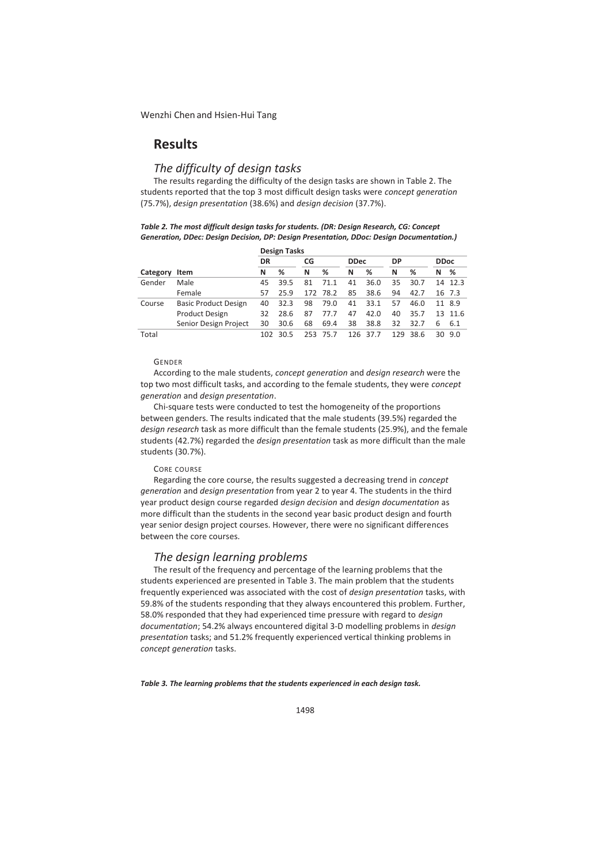# **Results**

# *The difficulty of design tasks*

The results regarding the difficulty of the design tasks are shown in Table 2. The students reported that the top 3 most difficult design tasks were *concept generation* (75.7%), *design presentation* (38.6%) and *design decision* (37.7%).

| Table 2. The most difficult design tasks for students. (DR: Design Research, CG: Concept |
|------------------------------------------------------------------------------------------|
| Generation, DDec: Design Decision, DP: Design Presentation, DDoc: Design Documentation.) |

|          |                             | <b>Design Tasks</b> |      |    |          |             |          |           |          |             |         |  |  |
|----------|-----------------------------|---------------------|------|----|----------|-------------|----------|-----------|----------|-------------|---------|--|--|
|          |                             | DR                  |      | CG |          | <b>DDec</b> |          | <b>DP</b> |          | <b>DDoc</b> |         |  |  |
| Category | Item                        | N                   | %    | N  | %        | N           | ℅        | N         | %        | N           | %       |  |  |
| Gender   | Male                        | 45                  | 39.5 | 81 | 71.1     | 41          | 36.0     | 35        | 30.7     |             | 14 12.3 |  |  |
|          | Female                      | 57                  | 25.9 |    | 172 78.2 | 85          | 38.6     | 94        | 42.7     |             | 16 7.3  |  |  |
| Course   | <b>Basic Product Design</b> | 40                  | 32.3 | 98 | 79.0     | 41          | 33.1     | 57        | 46.0     | 11          | 8.9     |  |  |
|          | <b>Product Design</b>       | 32                  | 28.6 | 87 | 77.7     | 47          | 42.0     | 40        | 35.7     |             | 13 11.6 |  |  |
|          | Senior Design Project       | 30                  | 30.6 | 68 | 69.4     | 38          | 38.8     | 32        | 32.7     | 6           | 6.1     |  |  |
| Total    |                             | 102                 | 30.5 |    | 253 75.7 |             | 126 37.7 |           | 129 38.6 |             | 30 9.0  |  |  |

## GENDER

According to the male students, *concept generation* and *design research* were the top two most difficult tasks, and according to the female students, they were *concept generation* and *design presentation*.

Chi-square tests were conducted to test the homogeneity of the proportions between genders. The results indicated that the male students (39.5%) regarded the *design research* task as more difficult than the female students (25.9%), and the female students (42.7%) regarded the *design presentation* task as more difficult than the male students (30.7%).

## CORE COURSE

Regarding the core course, the results suggested a decreasing trend in *concept generation* and *design presentation* from year 2 to year 4. The students in the third year product design course regarded *design decision* and *design documentation* as more difficult than the students in the second year basic product design and fourth year senior design project courses. However, there were no significant differences between the core courses.

# *The design learning problems*

The result of the frequency and percentage of the learning problems that the students experienced are presented in Table 3. The main problem that the students frequently experienced was associated with the cost of *design presentation* tasks, with 59.8% of the students responding that they always encountered this problem. Further, 58.0% responded that they had experienced time pressure with regard to *design documentation*; 54.2% always encountered digital 3-D modelling problems in *design presentation* tasks; and 51.2% frequently experienced vertical thinking problems in *concept generation* tasks.

*Table 3. The learning problems that the students experienced in each design task.*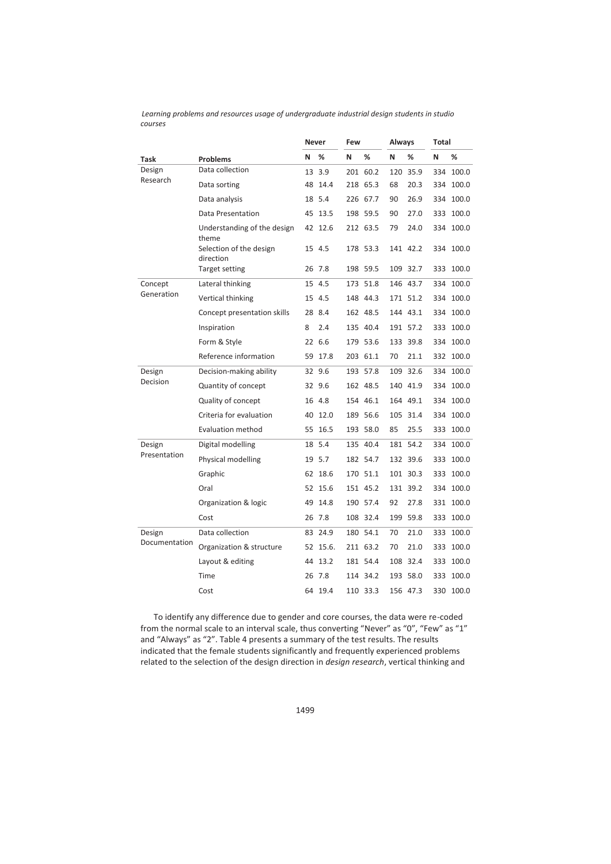|                       |                                      |    | <b>Never</b> |   |          | Always |          | Total |           |
|-----------------------|--------------------------------------|----|--------------|---|----------|--------|----------|-------|-----------|
| Task                  | <b>Problems</b>                      | N  | %            | N | %        | N      | %        | N     | %         |
| Design                | Data collection                      | 13 | 3.9          |   | 201 60.2 | 120    | 35.9     | 334   | 100.0     |
| Research              | Data sorting                         | 48 | 14.4         |   | 218 65.3 | 68     | 20.3     | 334   | 100.0     |
|                       | Data analysis                        | 18 | 5.4          |   | 226 67.7 | 90     | 26.9     |       | 334 100.0 |
|                       | Data Presentation                    |    | 45 13.5      |   | 198 59.5 | 90     | 27.0     |       | 333 100.0 |
|                       | Understanding of the design<br>theme |    | 42 12.6      |   | 212 63.5 | 79     | 24.0     | 334   | 100.0     |
|                       | Selection of the design<br>direction | 15 | 4.5          |   | 178 53.3 |        | 141 42.2 |       | 334 100.0 |
|                       | <b>Target setting</b>                |    | 26 7.8       |   | 198 59.5 |        | 109 32.7 |       | 333 100.0 |
| Concept<br>Generation | Lateral thinking                     | 15 | 4.5          |   | 173 51.8 |        | 146 43.7 | 334   | 100.0     |
|                       | Vertical thinking                    |    | 15 4.5       |   | 148 44.3 |        | 171 51.2 | 334   | 100.0     |
|                       | Concept presentation skills          |    | 28 8.4       |   | 162 48.5 |        | 144 43.1 | 334   | 100.0     |
|                       | Inspiration                          | 8  | 2.4          |   | 135 40.4 |        | 191 57.2 |       | 333 100.0 |
|                       | Form & Style                         |    | 22 6.6       |   | 179 53.6 |        | 133 39.8 |       | 334 100.0 |
|                       | Reference information                | 59 | 17.8         |   | 203 61.1 | 70     | 21.1     |       | 332 100.0 |
| Design                | Decision-making ability              |    | 32 9.6       |   | 193 57.8 |        | 109 32.6 | 334   | 100.0     |
| Decision              | Quantity of concept                  | 32 | 9.6          |   | 162 48.5 |        | 140 41.9 | 334   | 100.0     |
|                       | Quality of concept                   |    | 16 4.8       |   | 154 46.1 |        | 164 49.1 |       | 334 100.0 |
|                       | Criteria for evaluation              |    | 40 12.0      |   | 189 56.6 |        | 105 31.4 |       | 334 100.0 |
|                       | <b>Evaluation method</b>             | 55 | 16.5         |   | 193 58.0 | 85     | 25.5     | 333   | 100.0     |
| Design                | Digital modelling                    | 18 | 5.4          |   | 135 40.4 |        | 181 54.2 | 334   | 100.0     |
| Presentation          | Physical modelling                   |    | 19 5.7       |   | 182 54.7 |        | 132 39.6 | 333   | 100.0     |
|                       | Graphic                              |    | 62 18.6      |   | 170 51.1 |        | 101 30.3 |       | 333 100.0 |
|                       | Oral                                 |    | 52 15.6      |   | 151 45.2 |        | 131 39.2 |       | 334 100.0 |
|                       | Organization & logic                 | 49 | 14.8         |   | 190 57.4 | 92     | 27.8     |       | 331 100.0 |
|                       | Cost                                 |    | 26 7.8       |   | 108 32.4 |        | 199 59.8 |       | 333 100.0 |
| Design                | Data collection                      |    | 83 24.9      |   | 180 54.1 | 70     | 21.0     | 333   | 100.0     |
| Documentation         | Organization & structure             |    | 52 15.6.     |   | 211 63.2 | 70     | 21.0     |       | 333 100.0 |
|                       | Layout & editing                     |    | 44 13.2      |   | 181 54.4 |        | 108 32.4 |       | 333 100.0 |
|                       | Time                                 |    | 26 7.8       |   | 114 34.2 |        | 193 58.0 | 333   | 100.0     |
|                       | Cost                                 |    | 64 19.4      |   | 110 33.3 |        | 156 47.3 |       | 330 100.0 |

To identify any difference due to gender and core courses, the data were re-coded from the normal scale to an interval scale, thus converting "Never" as "0", "Few" as "1" and "Always" as "2". Table 4 presents a summary of the test results. The results indicated that the female students significantly and frequently experienced problems related to the selection of the design direction in *design research*, vertical thinking and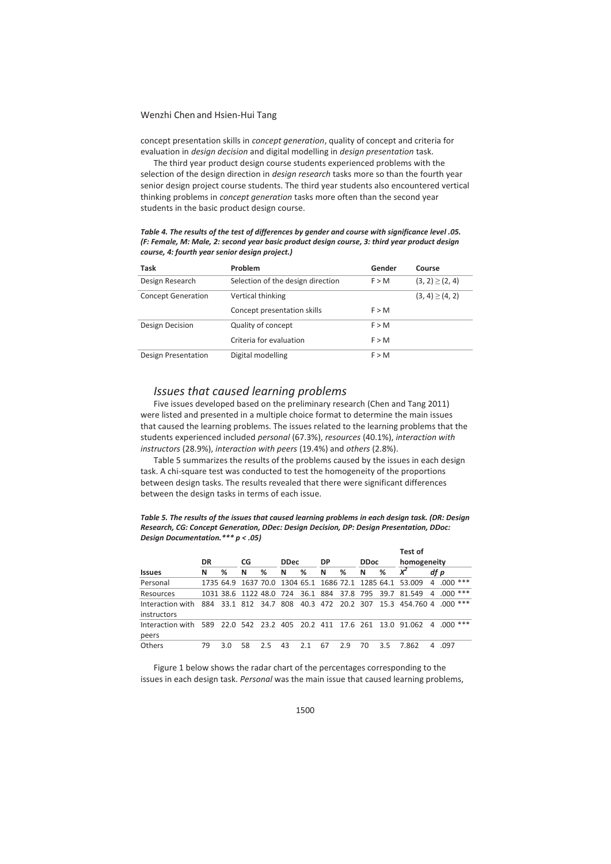concept presentation skills in *concept generation*, quality of concept and criteria for evaluation in *design decision* and digital modelling in *design presentation* task.

The third year product design course students experienced problems with the selection of the design direction in *design research* tasks more so than the fourth year senior design project course students. The third year students also encountered vertical thinking problems in *concept generation* tasks more often than the second year students in the basic product design course.

*Table 4. The results of the test of differences by gender and course with significance level .05. (F: Female, M: Male, 2: second year basic product design course, 3: third year product design course, 4: fourth year senior design project.)* 

| <b>Task</b>               | Problem                           | Gender | Course               |
|---------------------------|-----------------------------------|--------|----------------------|
| Design Research           | Selection of the design direction | F > M  | $(3, 2) \geq (2, 4)$ |
| <b>Concept Generation</b> | Vertical thinking                 |        | $(3, 4) \ge (4, 2)$  |
|                           | Concept presentation skills       | F > M  |                      |
| Design Decision           | Quality of concept                | F > M  |                      |
|                           | Criteria for evaluation           | F > M  |                      |
| Design Presentation       | Digital modelling                 | F > M  |                      |

# *Issues that caused learning problems*

Five issues developed based on the preliminary research (Chen and Tang 2011) were listed and presented in a multiple choice format to determine the main issues that caused the learning problems. The issues related to the learning problems that the students experienced included *personal* (67.3%), *resources* (40.1%), *interaction with instructors* (28.9%), *interaction with peers* (19.4%) and *others* (2.8%).

Table 5 summarizes the results of the problems caused by the issues in each design task. A chi-square test was conducted to test the homogeneity of the proportions between design tasks. The results revealed that there were significant differences between the design tasks in terms of each issue.

#### *Table 5. The results of the issues that caused learning problems in each design task. (DR: Design Research, CG: Concept Generation, DDec: Design Decision, DP: Design Presentation, DDoc: Design Documentation.\*\*\* p < .05)*

|                                                                               |     |     |                   |     |    |             |          |     |    |             | Test of                                                  |                |      |     |
|-------------------------------------------------------------------------------|-----|-----|-------------------|-----|----|-------------|----------|-----|----|-------------|----------------------------------------------------------|----------------|------|-----|
|                                                                               | DR  |     | CG                |     |    | <b>DDec</b> |          | DP  |    | <b>DDoc</b> | homogeneity                                              |                |      |     |
| <b>Issues</b>                                                                 | Ν   | %   | N                 | %   | N  | %           | N        | ℅   | N  | %           | x                                                        | df p           |      |     |
| Personal                                                                      |     |     |                   |     |    |             |          |     |    |             | 1735 64.9 1637 70.0 1304 65.1 1686 72.1 1285 64.1 53.009 | $\overline{a}$ | .000 | *** |
| Resources                                                                     |     |     |                   |     |    |             |          |     |    |             | 1031 38.6 1122 48.0 724 36.1 884 37.8 795 39.7 81.549    | 4              | .000 | *** |
| Interaction with<br>instructors                                               | 884 |     | 33.1 812 34.7 808 |     |    |             | 40.3 472 |     |    |             | 20.2 307 15.3 454.760 4 .000                             |                |      | *** |
| Interaction with 589 22.0 542 23.2 405 20.2 411 17.6 261 13.0 91.062<br>peers |     |     |                   |     |    |             |          |     |    |             |                                                          | $\overline{a}$ | .000 | *** |
| Others                                                                        | 79  | 3.0 | 58                | 2.5 | 43 | 2.1         | 67       | 2.9 | 70 | 3.5         | 7.862                                                    |                | .097 |     |

Figure 1 below shows the radar chart of the percentages corresponding to the issues in each design task. *Personal* was the main issue that caused learning problems,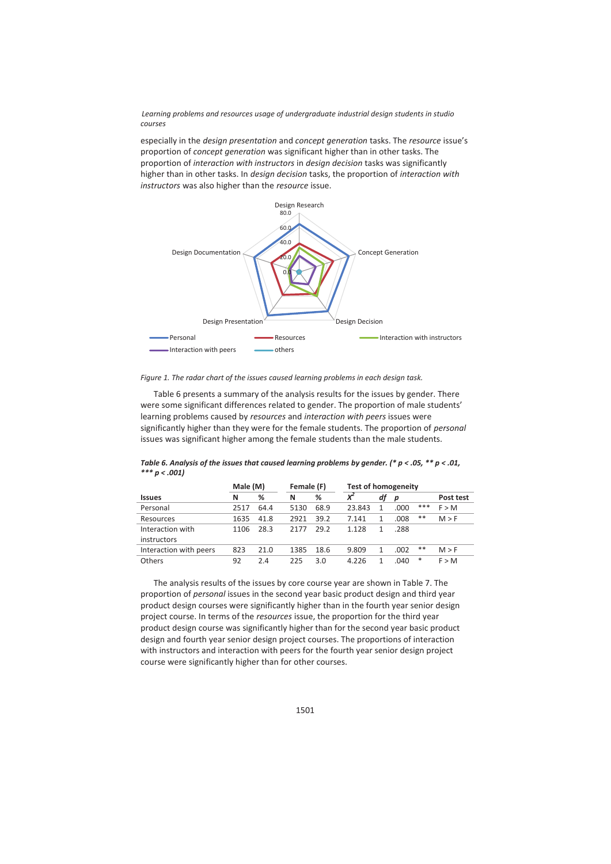especially in the *design presentation* and *concept generation* tasks. The *resource* issue's proportion of *concept generation* was significant higher than in other tasks. The proportion of *interaction with instructors* in *design decision* tasks was significantly higher than in other tasks. In *design decision* tasks, the proportion of *interaction with instructors* was also higher than the *resource* issue.



*Figure 1. The radar chart of the issues caused learning problems in each design task.* 

Table 6 presents a summary of the analysis results for the issues by gender. There were some significant differences related to gender. The proportion of male students' learning problems caused by *resources* and *interaction with peers* issues were significantly higher than they were for the female students. The proportion of *personal* issues was significant higher among the female students than the male students.

*Table 6. Analysis of the issues that caused learning problems by gender. (\* p < .05, \*\* p < .01, \*\*\* p < .001)* 

|                        | Male (M) |      | Female (F) |      | <b>Test of homogeneity</b> |    |      |     |           |
|------------------------|----------|------|------------|------|----------------------------|----|------|-----|-----------|
| <b>Issues</b>          | N        | %    | N          | %    | $x^2$                      | df | p    |     | Post test |
| Personal               | 2517     | 64.4 | 5130       | 68.9 | 23.843                     |    | .000 | *** | F > M     |
| Resources              | 1635     | 41.8 | 2921       | 39.2 | 7.141                      |    | .008 | **  | M > F     |
| Interaction with       | 1106     | 28.3 | 2177       | 29.2 | 1.128                      |    | .288 |     |           |
| instructors            |          |      |            |      |                            |    |      |     |           |
| Interaction with peers | 823      | 21.0 | 1385       | 18.6 | 9.809                      |    | .002 | **  | M > F     |
| Others                 | 92       | 2.4  | 225        | 3.0  | 4.226                      |    | .040 | *   | F > M     |

The analysis results of the issues by core course year are shown in Table 7. The proportion of *personal* issues in the second year basic product design and third year product design courses were significantly higher than in the fourth year senior design project course. In terms of the *resources* issue, the proportion for the third year product design course was significantly higher than for the second year basic product design and fourth year senior design project courses. The proportions of interaction with instructors and interaction with peers for the fourth year senior design project course were significantly higher than for other courses.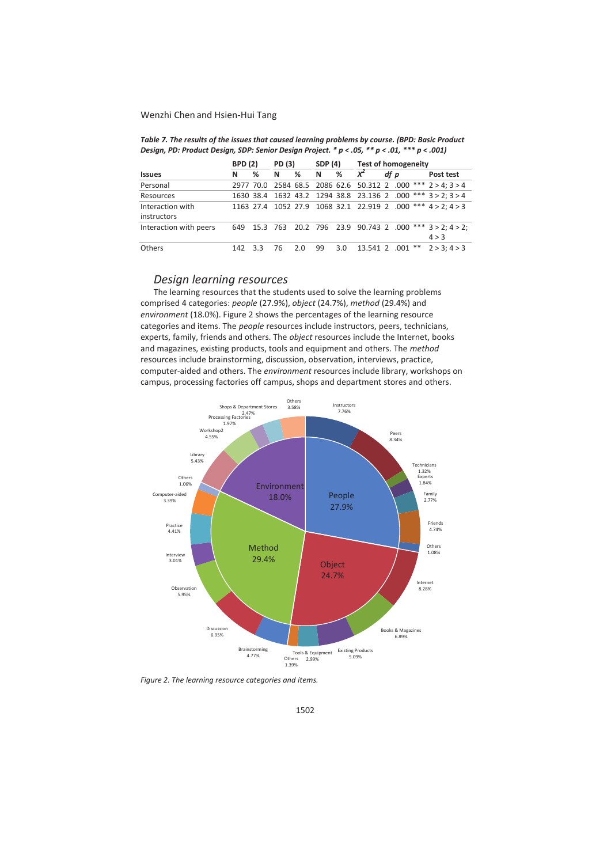|                        |     | <b>BPD</b> (2)<br>PD (3) |    |     | SDP (4) |     | <b>Test of homogeneity</b> |      |                  |                                                              |  |  |
|------------------------|-----|--------------------------|----|-----|---------|-----|----------------------------|------|------------------|--------------------------------------------------------------|--|--|
| <b>Issues</b>          | N   | %                        | N  | %   | N       | %   | $x^2$                      | df p |                  | Post test                                                    |  |  |
| Personal               |     |                          |    |     |         |     |                            |      |                  | 2977 70.0 2584 68.5 2086 62.6 50.312 2 .000 *** 2 > 4; 3 > 4 |  |  |
| Resources              |     |                          |    |     |         |     |                            |      |                  | 1630 38.4 1632 43.2 1294 38.8 23.136 2 .000 *** 3 > 2; 3 > 4 |  |  |
| Interaction with       |     |                          |    |     |         |     |                            |      |                  | 1163 27.4 1052 27.9 1068 32.1 22.919 2 .000 *** 4 > 2; 4 > 3 |  |  |
| instructors            |     |                          |    |     |         |     |                            |      |                  |                                                              |  |  |
| Interaction with peers | 649 |                          |    |     |         |     |                            |      |                  | 15.3 763 20.2 796 23.9 90.743 2 .000 *** 3 > 2; 4 > 2;       |  |  |
|                        |     |                          |    |     |         |     |                            |      |                  | 4 > 3                                                        |  |  |
| Others                 | 142 | 3.3                      | 76 | 2.0 | 99      | 3.0 |                            |      | 13.541 2 .001 ** | 2 > 3: 4 > 3                                                 |  |  |

*Table 7. The results of the issues that caused learning problems by course. (BPD: Basic Product Design, PD: Product Design, SDP: Senior Design Project. \* p < .05, \*\* p < .01, \*\*\* p < .001)* 

# *Design learning resources*

The learning resources that the students used to solve the learning problems comprised 4 categories: *people* (27.9%), *object* (24.7%), *method* (29.4%) and *environment* (18.0%). Figure 2 shows the percentages of the learning resource categories and items. The *people* resources include instructors, peers, technicians, experts, family, friends and others. The *object* resources include the Internet, books and magazines, existing products, tools and equipment and others. The *method* resources include brainstorming, discussion, observation, interviews, practice, computer-aided and others. The *environment* resources include library, workshops on campus, processing factories off campus, shops and department stores and others.



*Figure 2. The learning resource categories and items.*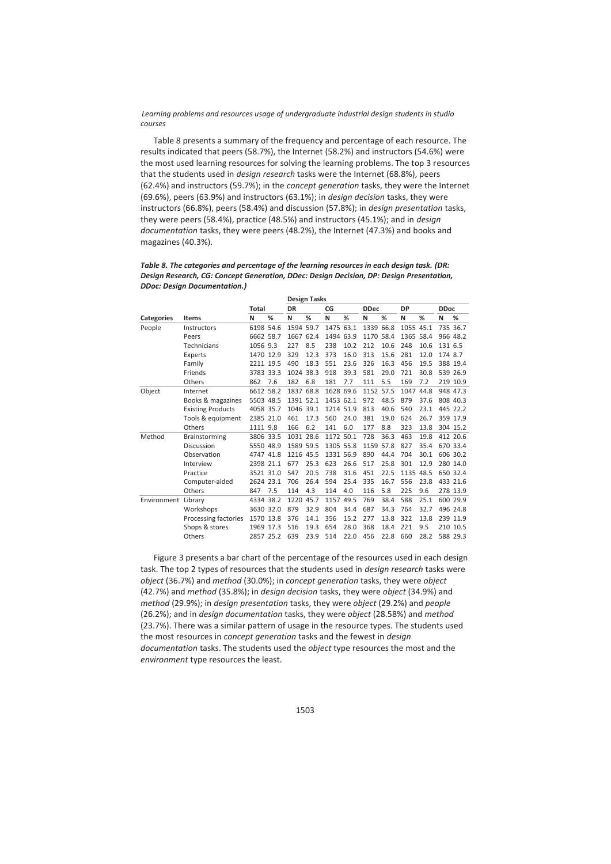Table 8 presents a summary of the frequency and percentage of each resource. The results indicated that peers (58.7%), the Internet (58.2%) and instructors (54.6%) were the most used learning resources for solving the learning problems. The top 3 resources that the students used in *design research* tasks were the Internet (68.8%), peers (62.4%) and instructors (59.7%); in the *concept generation* tasks, they were the Internet (69.6%), peers (63.9%) and instructors (63.1%); in *design decision* tasks, they were instructors (66.8%), peers (58.4%) and discussion (57.8%); in *design presentation* tasks, they were peers (58.4%), practice (48.5%) and instructors (45.1%); and in *design documentation* tasks, they were peers (48.2%), the Internet (47.3%) and books and magazines (40.3%).

|             |                          |           |     |           | Design Tasks |           |      |             |      |           |      |             |          |
|-------------|--------------------------|-----------|-----|-----------|--------------|-----------|------|-------------|------|-----------|------|-------------|----------|
|             |                          | Total     |     | DR        |              | CG        |      | <b>DDec</b> |      | DP        |      | <b>DDoc</b> |          |
| Categories  | <b>Items</b>             | N         | %   | N         | %            | N         | %    | N           | %    | N         | %    | N           | %        |
| People      | Instructors              | 6198 54.6 |     | 1594 59.7 |              | 1475 63.1 |      | 1339        | 66.8 | 1055 45.1 |      |             | 735 36.7 |
|             | Peers                    | 6662 58.7 |     | 1667 62.4 |              | 1494 63.9 |      | 1170 58.4   |      | 1365 58.4 |      |             | 966 48.2 |
|             | Technicians              | 1056 9.3  |     | 227       | 8.5          | 238       | 10.2 | 212         | 10.6 | 248       | 10.6 | 131 6.5     |          |
|             | Experts                  | 1470 12.9 |     | 329       | 12.3         | 373       | 16.0 | 313         | 15.6 | 281       | 12.0 | 174 8.7     |          |
|             | Family                   | 2211 19.5 |     | 490       | 18.3         | 551       | 23.6 | 326         | 16.3 | 456       | 19.5 |             | 388 19.4 |
|             | <b>Friends</b>           | 3783 33.3 |     | 1024 38.3 |              | 918       | 39.3 | 581         | 29.0 | 721       | 30.8 |             | 539 26.9 |
|             | Others                   | 862       | 7.6 | 182       | 6.8          | 181       | 7.7  | 111         | 5.5  | 169       | 7.2  |             | 219 10.9 |
| Object      | Internet                 | 6612 58.2 |     | 1837 68.8 |              | 1628 69.6 |      | 1152 57.5   |      | 1047      | 44.8 |             | 948 47.3 |
|             | Books & magazines        | 5503 48.5 |     | 1391 52.1 |              | 1453 62.1 |      | 972         | 48.5 | 879       | 37.6 |             | 808 40.3 |
|             | <b>Existing Products</b> | 4058 35.7 |     | 1046 39.1 |              | 1214 51.9 |      | 813         | 40.6 | 540       | 23.1 |             | 445 22.2 |
|             | Tools & equipment        | 2385 21.0 |     | 461       | 17.3         | 560       | 24.0 | 381         | 19.0 | 624       | 26.7 |             | 359 17.9 |
|             | Others                   | 1111 9.8  |     | 166       | 6.2          | 141       | 6.0  | 177         | 8.8  | 323       | 13.8 |             | 304 15.2 |
| Method      | <b>Brainstorming</b>     | 3806 33.5 |     | 1031 28.6 |              | 1172 50.1 |      | 728         | 36.3 | 463       | 19.8 |             | 412 20.6 |
|             | Discussion               | 5550 48.9 |     | 1589 59.5 |              | 1305 55.8 |      | 1159 57.8   |      | 827       | 35.4 |             | 670 33.4 |
|             | Observation              | 4747 41.8 |     | 1216 45.5 |              | 1331 56.9 |      | 890         | 44.4 | 704       | 30.1 |             | 606 30.2 |
|             | Interview                | 2398 21.1 |     | 677       | 25.3         | 623       | 26.6 | 517         | 25.8 | 301       | 12.9 |             | 280 14.0 |
|             | Practice                 | 3521 31.0 |     | 547       | 20.5         | 738       | 31.6 | 451         | 22.5 | 1135      | 48.5 |             | 650 32.4 |
|             | Computer-aided           | 2624 23.1 |     | 706       | 26.4         | 594       | 25.4 | 335         | 16.7 | 556       | 23.8 |             | 433 21.6 |
|             | Others                   | 847       | 7.5 | 114       | 4.3          | 114       | 4.0  | 116         | 5.8  | 225       | 9.6  |             | 278 13.9 |
| Environment | Library                  | 4334 38.2 |     | 1220      | 45.7         | 1157      | 49.5 | 769         | 38.4 | 588       | 25.1 |             | 600 29.9 |
|             | Workshops                | 3630 32.0 |     | 879       | 32.9         | 804       | 34.4 | 687         | 34.3 | 764       | 32.7 |             | 496 24.8 |
|             | Processing factories     | 1570 13.8 |     | 376       | 14.1         | 356       | 15.2 | 277         | 13.8 | 322       | 13.8 |             | 239 11.9 |
|             | Shops & stores           | 1969 17.3 |     | 516       | 19.3         | 654       | 28.0 | 368         | 18.4 | 221       | 9.5  |             | 210 10.5 |
|             | Others                   | 2857 25.2 |     | 639       | 23.9         | 514       | 22.0 | 456         | 22.8 | 660       | 28.2 |             | 588 29.3 |

#### *Table 8. The categories and percentage of the learning resources in each design task. (DR: Design Research, CG: Concept Generation, DDec: Design Decision, DP: Design Presentation, DDoc: Design Documentation.)*

**Design Tasks** 

Figure 3 presents a bar chart of the percentage of the resources used in each design task. The top 2 types of resources that the students used in *design research* tasks were *object* (36.7%) and *method* (30.0%); in *concept generation* tasks, they were *object* (42.7%) and *method* (35.8%); in *design decision* tasks, they were *object* (34.9%) and *method* (29.9%); in *design presentation* tasks, they were *object* (29.2%) and *people* (26.2%); and in *design documentation* tasks, they were *object* (28.58%) and *method* (23.7%). There was a similar pattern of usage in the resource types. The students used the most resources in *concept generation* tasks and the fewest in *design documentation* tasks. The students used the *object* type resources the most and the *environment* type resources the least.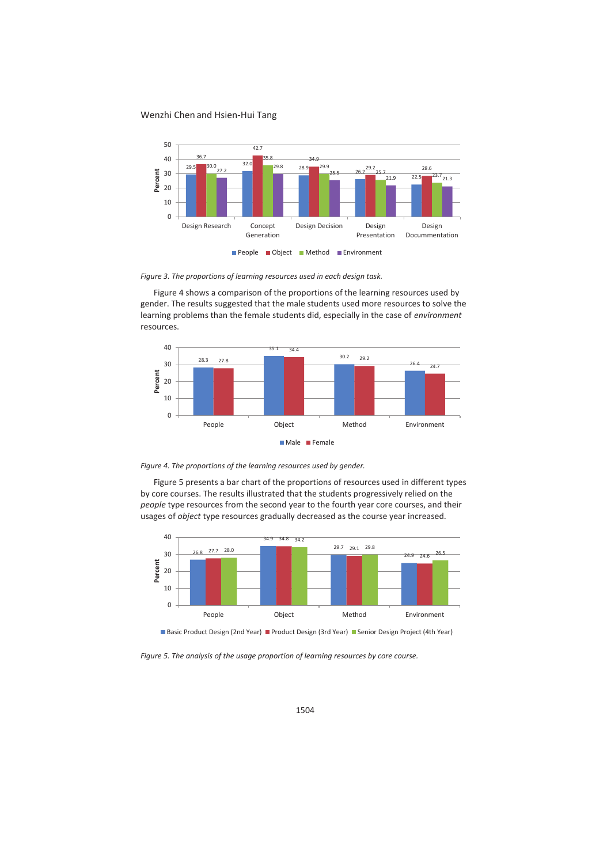

*Figure 3. The proportions of learning resources used in each design task.* 

Figure 4 shows a comparison of the proportions of the learning resources used by gender. The results suggested that the male students used more resources to solve the learning problems than the female students did, especially in the case of *environment* resources.





Figure 5 presents a bar chart of the proportions of resources used in different types by core courses. The results illustrated that the students progressively relied on the *people* type resources from the second year to the fourth year core courses, and their usages of *object* type resources gradually decreased as the course year increased.





*Figure 5. The analysis of the usage proportion of learning resources by core course.*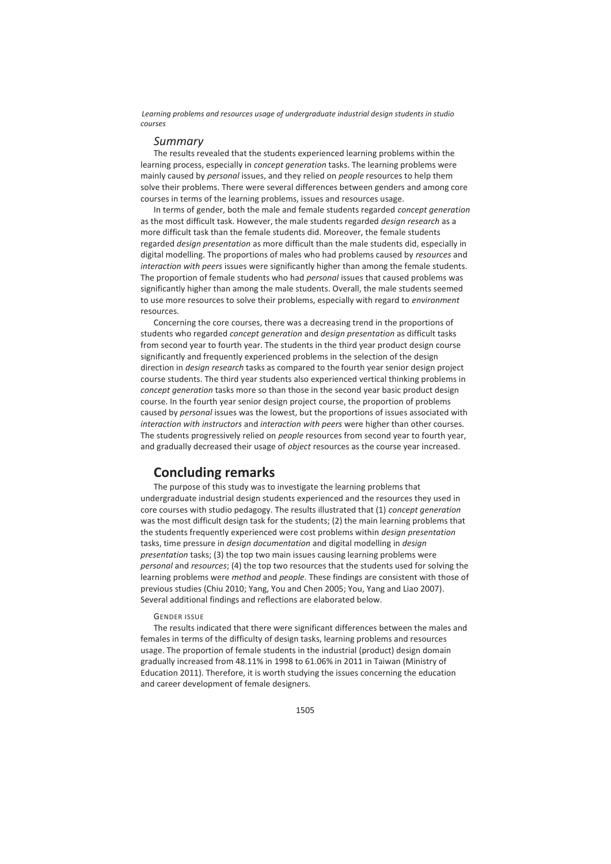## *Summary*

The results revealed that the students experienced learning problems within the learning process, especially in *concept generation* tasks. The learning problems were mainly caused by *personal* issues, and they relied on *people* resources to help them solve their problems. There were several differences between genders and among core courses in terms of the learning problems, issues and resources usage.

In terms of gender, both the male and female students regarded *concept generation* as the most difficult task. However, the male students regarded *design research* as a more difficult task than the female students did. Moreover, the female students regarded *design presentation* as more difficult than the male students did, especially in digital modelling. The proportions of males who had problems caused by *resources* and *interaction with peers* issues were significantly higher than among the female students. The proportion of female students who had *personal* issues that caused problems was significantly higher than among the male students. Overall, the male students seemed to use more resources to solve their problems, especially with regard to *environment* resources.

Concerning the core courses, there was a decreasing trend in the proportions of students who regarded *concept generation* and *design presentation* as difficult tasks from second year to fourth year. The students in the third year product design course significantly and frequently experienced problems in the selection of the design direction in *design research* tasks as compared to the fourth year senior design project course students. The third year students also experienced vertical thinking problems in *concept generation* tasks more so than those in the second year basic product design course. In the fourth year senior design project course, the proportion of problems caused by *personal* issues was the lowest, but the proportions of issues associated with *interaction with instructors* and *interaction with peers* were higher than other courses. The students progressively relied on *people* resources from second year to fourth year, and gradually decreased their usage of *object* resources as the course year increased.

# **Concluding remarks**

The purpose of this study was to investigate the learning problems that undergraduate industrial design students experienced and the resources they used in core courses with studio pedagogy. The results illustrated that (1) *concept generation* was the most difficult design task for the students; (2) the main learning problems that the students frequently experienced were cost problems within *design presentation* tasks, time pressure in *design documentation* and digital modelling in *design presentation* tasks; (3) the top two main issues causing learning problems were *personal* and *resources*; (4) the top two resources that the students used for solving the learning problems were *method* and *people*. These findings are consistent with those of previous studies (Chiu 2010; Yang, You and Chen 2005; You, Yang and Liao 2007). Several additional findings and reflections are elaborated below.

## GENDER ISSUE

The results indicated that there were significant differences between the males and females in terms of the difficulty of design tasks, learning problems and resources usage. The proportion of female students in the industrial (product) design domain gradually increased from 48.11% in 1998 to 61.06% in 2011 in Taiwan (Ministry of Education 2011). Therefore, it is worth studying the issues concerning the education and career development of female designers.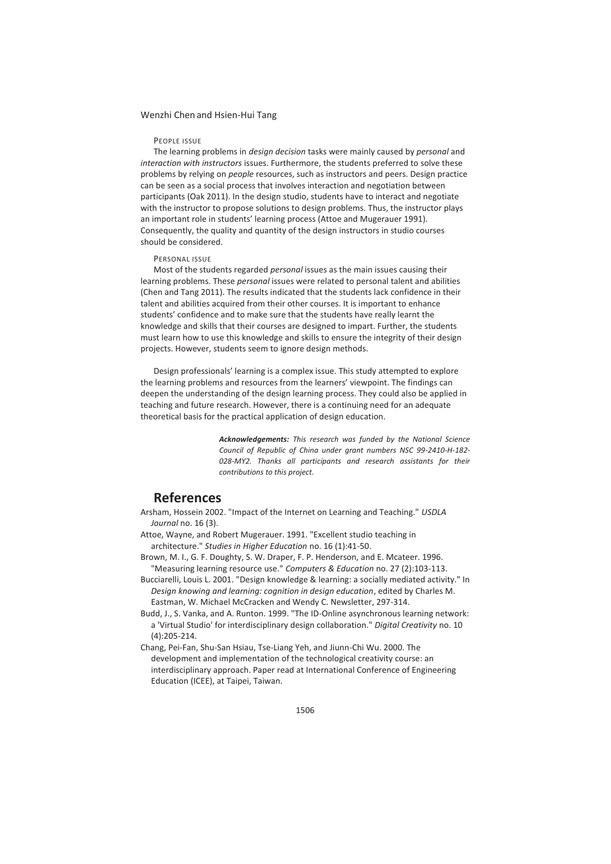#### PEOPLE ISSUE

The learning problems in *design decision* tasks were mainly caused by *personal* and *interaction with instructors* issues. Furthermore, the students preferred to solve these problems by relying on *people* resources, such as instructors and peers. Design practice can be seen as a social process that involves interaction and negotiation between participants (Oak 2011). In the design studio, students have to interact and negotiate with the instructor to propose solutions to design problems. Thus, the instructor plays an important role in students' learning process (Attoe and Mugerauer 1991). Consequently, the quality and quantity of the design instructors in studio courses should be considered.

#### PERSONAL ISSUE

Most of the students regarded *personal* issues as the main issues causing their learning problems. These *personal* issues were related to personal talent and abilities (Chen and Tang 2011). The results indicated that the students lack confidence in their talent and abilities acquired from their other courses. It is important to enhance students' confidence and to make sure that the students have really learnt the knowledge and skills that their courses are designed to impart. Further, the students must learn how to use this knowledge and skills to ensure the integrity of their design projects. However, students seem to ignore design methods.

Design professionals' learning is a complex issue. This study attempted to explore the learning problems and resources from the learners' viewpoint. The findings can deepen the understanding of the design learning process. They could also be applied in teaching and future research. However, there is a continuing need for an adequate theoretical basis for the practical application of design education.

> *Acknowledgements: This research was funded by the National Science Council of Republic of China under grant numbers NSC 99-2410-H-182-* 028-MY2. Thanks all participants and research assistants for their *contributions to this project.*

# **References**

- Arsham, Hossein 2002. "Impact of the Internet on Learning and Teaching." *USDLA Journal* no. 16 (3).
- Attoe, Wayne, and Robert Mugerauer. 1991. "Excellent studio teaching in architecture." *Studies in Higher Education* no. 16 (1):41-50.
- Brown, M. I., G. F. Doughty, S. W. Draper, F. P. Henderson, and E. Mcateer. 1996. "Measuring learning resource use." *Computers & Education* no. 27 (2):103-113.
- Bucciarelli, Louis L. 2001. "Design knowledge & learning: a socially mediated activity." In *Design knowing and learning: cognition in design education*, edited by Charles M. Eastman, W. Michael McCracken and Wendy C. Newsletter, 297-314.
- Budd, J., S. Vanka, and A. Runton. 1999. "The ID-Online asynchronous learning network: a 'Virtual Studio' for interdisciplinary design collaboration." *Digital Creativity* no. 10 (4):205-214.
- Chang, Pei-Fan, Shu-San Hsiau, Tse-Liang Yeh, and Jiunn-Chi Wu. 2000. The development and implementation of the technological creativity course: an interdisciplinary approach. Paper read at International Conference of Engineering Education (ICEE), at Taipei, Taiwan.